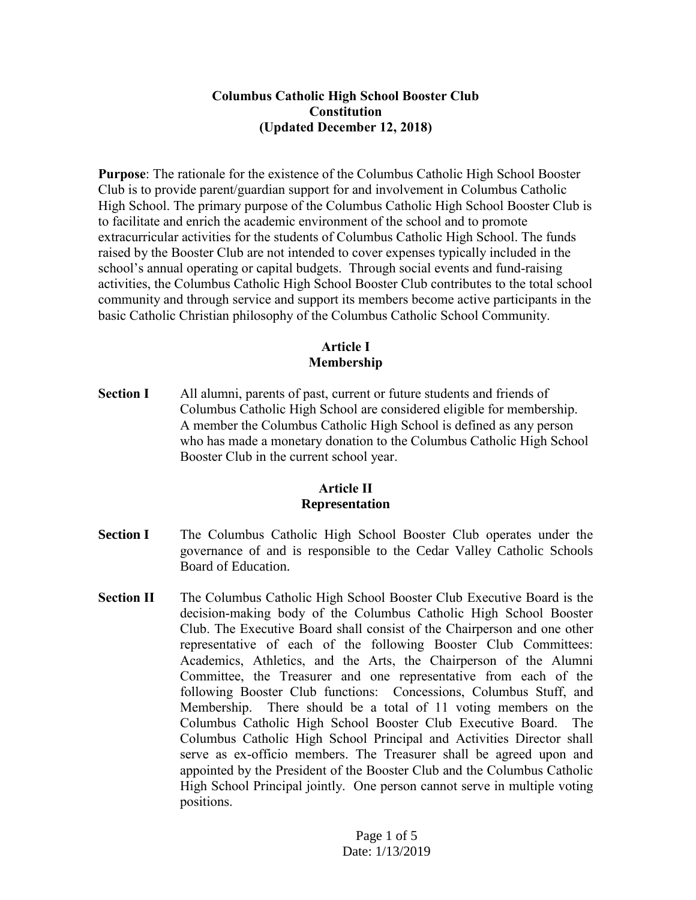### **Columbus Catholic High School Booster Club Constitution (Updated December 12, 2018)**

**Purpose**: The rationale for the existence of the Columbus Catholic High School Booster Club is to provide parent/guardian support for and involvement in Columbus Catholic High School. The primary purpose of the Columbus Catholic High School Booster Club is to facilitate and enrich the academic environment of the school and to promote extracurricular activities for the students of Columbus Catholic High School. The funds raised by the Booster Club are not intended to cover expenses typically included in the school's annual operating or capital budgets. Through social events and fund-raising activities, the Columbus Catholic High School Booster Club contributes to the total school community and through service and support its members become active participants in the basic Catholic Christian philosophy of the Columbus Catholic School Community.

## **Article I Membership**

**Section I** All alumni, parents of past, current or future students and friends of Columbus Catholic High School are considered eligible for membership. A member the Columbus Catholic High School is defined as any person who has made a monetary donation to the Columbus Catholic High School Booster Club in the current school year.

### **Article II Representation**

- **Section I** The Columbus Catholic High School Booster Club operates under the governance of and is responsible to the Cedar Valley Catholic Schools Board of Education.
- **Section II** The Columbus Catholic High School Booster Club Executive Board is the decision-making body of the Columbus Catholic High School Booster Club. The Executive Board shall consist of the Chairperson and one other representative of each of the following Booster Club Committees: Academics, Athletics, and the Arts, the Chairperson of the Alumni Committee, the Treasurer and one representative from each of the following Booster Club functions: Concessions, Columbus Stuff, and Membership. There should be a total of 11 voting members on the Columbus Catholic High School Booster Club Executive Board. The Columbus Catholic High School Principal and Activities Director shall serve as ex-officio members. The Treasurer shall be agreed upon and appointed by the President of the Booster Club and the Columbus Catholic High School Principal jointly. One person cannot serve in multiple voting positions.

Page 1 of 5 Date: 1/13/2019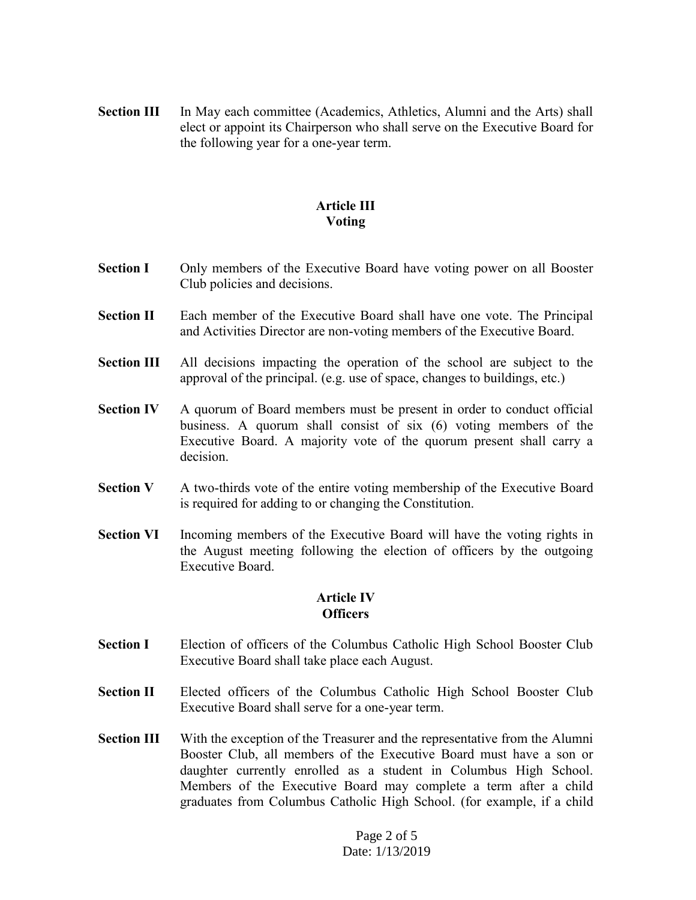**Section III** In May each committee (Academics, Athletics, Alumni and the Arts) shall elect or appoint its Chairperson who shall serve on the Executive Board for the following year for a one-year term.

### **Article III Voting**

- **Section I** Only members of the Executive Board have voting power on all Booster Club policies and decisions.
- **Section II** Each member of the Executive Board shall have one vote. The Principal and Activities Director are non-voting members of the Executive Board.
- **Section III** All decisions impacting the operation of the school are subject to the approval of the principal. (e.g. use of space, changes to buildings, etc.)
- **Section IV** A quorum of Board members must be present in order to conduct official business. A quorum shall consist of six (6) voting members of the Executive Board. A majority vote of the quorum present shall carry a decision.
- **Section V** A two-thirds vote of the entire voting membership of the Executive Board is required for adding to or changing the Constitution.
- **Section VI** Incoming members of the Executive Board will have the voting rights in the August meeting following the election of officers by the outgoing Executive Board.

#### **Article IV Officers**

- **Section I** Election of officers of the Columbus Catholic High School Booster Club Executive Board shall take place each August.
- **Section II** Elected officers of the Columbus Catholic High School Booster Club Executive Board shall serve for a one-year term.
- **Section III** With the exception of the Treasurer and the representative from the Alumni Booster Club, all members of the Executive Board must have a son or daughter currently enrolled as a student in Columbus High School. Members of the Executive Board may complete a term after a child graduates from Columbus Catholic High School. (for example, if a child

Page 2 of 5 Date: 1/13/2019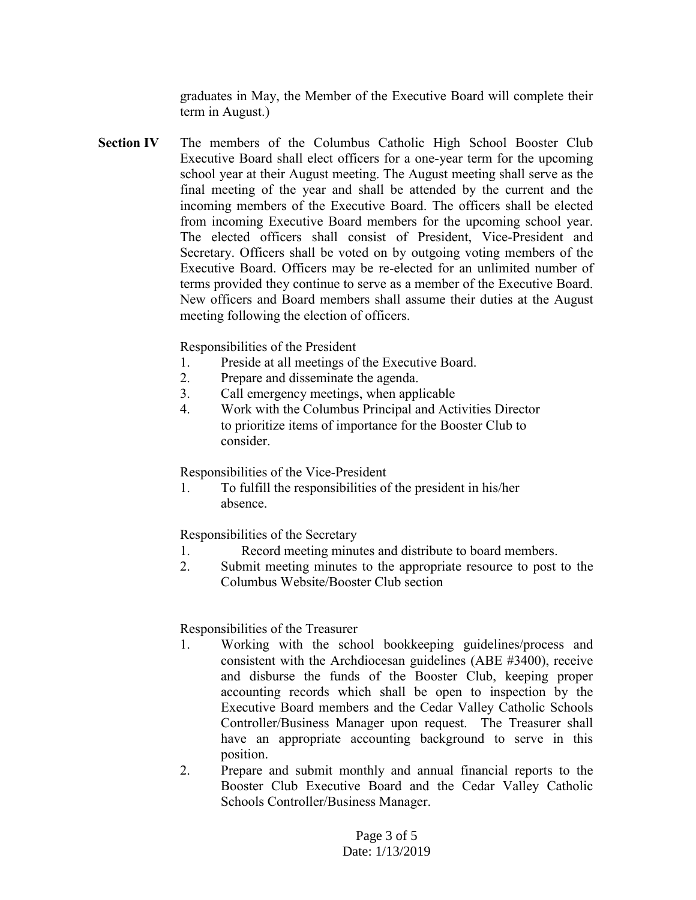graduates in May, the Member of the Executive Board will complete their term in August.)

**Section IV** The members of the Columbus Catholic High School Booster Club Executive Board shall elect officers for a one-year term for the upcoming school year at their August meeting. The August meeting shall serve as the final meeting of the year and shall be attended by the current and the incoming members of the Executive Board. The officers shall be elected from incoming Executive Board members for the upcoming school year. The elected officers shall consist of President, Vice-President and Secretary. Officers shall be voted on by outgoing voting members of the Executive Board. Officers may be re-elected for an unlimited number of terms provided they continue to serve as a member of the Executive Board. New officers and Board members shall assume their duties at the August meeting following the election of officers.

Responsibilities of the President

- 1. Preside at all meetings of the Executive Board.
- 2. Prepare and disseminate the agenda.
- 3. Call emergency meetings, when applicable
- 4. Work with the Columbus Principal and Activities Director to prioritize items of importance for the Booster Club to consider.

Responsibilities of the Vice-President

1. To fulfill the responsibilities of the president in his/her absence.

Responsibilities of the Secretary

- 1. Record meeting minutes and distribute to board members.
- 2. Submit meeting minutes to the appropriate resource to post to the Columbus Website/Booster Club section

Responsibilities of the Treasurer

- 1. Working with the school bookkeeping guidelines/process and consistent with the Archdiocesan guidelines (ABE #3400), receive and disburse the funds of the Booster Club, keeping proper accounting records which shall be open to inspection by the Executive Board members and the Cedar Valley Catholic Schools Controller/Business Manager upon request. The Treasurer shall have an appropriate accounting background to serve in this position.
- 2. Prepare and submit monthly and annual financial reports to the Booster Club Executive Board and the Cedar Valley Catholic Schools Controller/Business Manager.

Page 3 of 5 Date: 1/13/2019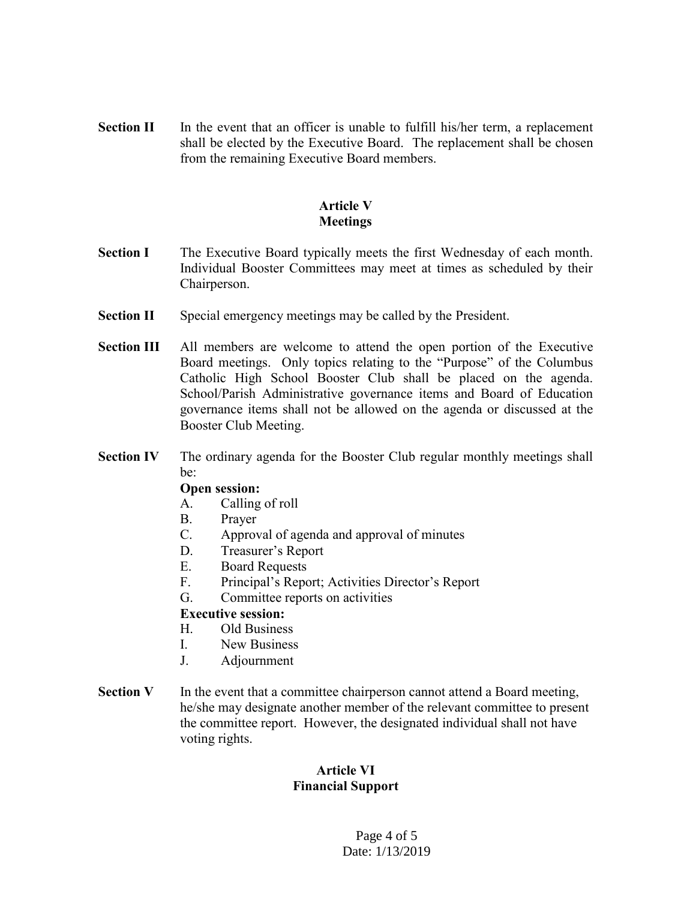**Section II** In the event that an officer is unable to fulfill his/her term, a replacement shall be elected by the Executive Board. The replacement shall be chosen from the remaining Executive Board members.

## **Article V Meetings**

- **Section I** The Executive Board typically meets the first Wednesday of each month. Individual Booster Committees may meet at times as scheduled by their Chairperson.
- **Section II** Special emergency meetings may be called by the President.
- **Section III** All members are welcome to attend the open portion of the Executive Board meetings. Only topics relating to the "Purpose" of the Columbus Catholic High School Booster Club shall be placed on the agenda. School/Parish Administrative governance items and Board of Education governance items shall not be allowed on the agenda or discussed at the Booster Club Meeting.
- **Section IV** The ordinary agenda for the Booster Club regular monthly meetings shall be:

#### **Open session:**

- A. Calling of roll
- B. Prayer
- C. Approval of agenda and approval of minutes
- D. Treasurer's Report
- E. Board Requests
- F. Principal's Report; Activities Director's Report
- G. Committee reports on activities

## **Executive session:**

- H. Old Business
- I. New Business
- J. Adjournment
- **Section V** In the event that a committee chairperson cannot attend a Board meeting, he/she may designate another member of the relevant committee to present the committee report. However, the designated individual shall not have voting rights.

# **Article VI Financial Support**

Page 4 of 5 Date: 1/13/2019